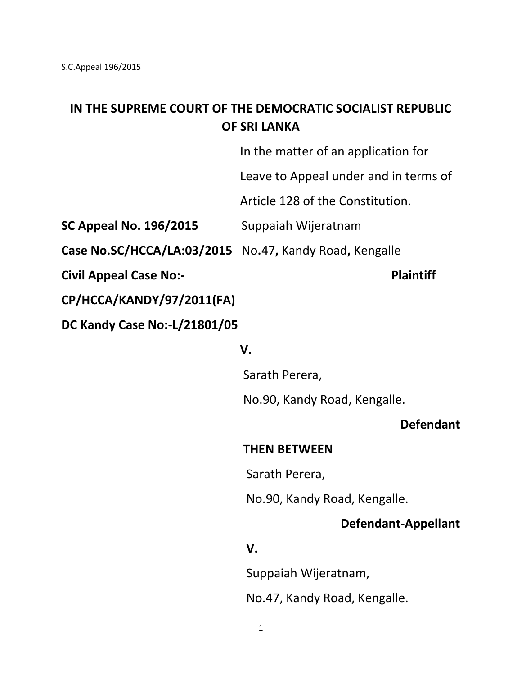# **IN THE SUPREME COURT OF THE DEMOCRATIC SOCIALIST REPUBLIC OF SRI LANKA**

In the matter of an application for

Leave to Appeal under and in terms of

Article 128 of the Constitution.

**SC Appeal No. 196/2015** Suppaiah Wijeratnam

**Case No.SC/HCCA/LA:03/2015** No**.**47**,** Kandy Road**,** Kengalle

**Civil Appeal Case No:-** Plaintiff

**CP/HCCA/KANDY/97/2011(FA)**

**DC Kandy Case No:-L/21801/05**

#### *V.* **V. V.**

Sarath Perera,

No.90, Kandy Road, Kengalle.

#### **Defendant**

## **THEN BETWEEN**

Sarath Perera,

No.90, Kandy Road, Kengalle.

## **Defendant-Appellant**

## *<u> V.</u>* **V.**

Suppaiah Wijeratnam,

No.47, Kandy Road, Kengalle.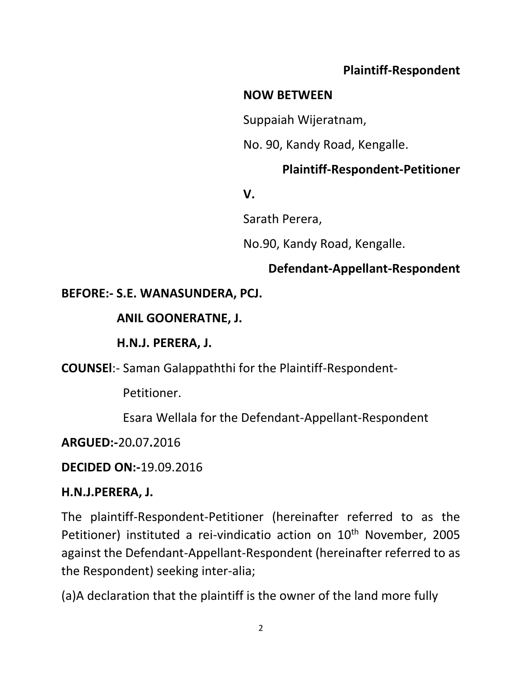# **Plaintiff-Respondent**

# **NOW BETWEEN**

Suppaiah Wijeratnam,

No. 90, Kandy Road, Kengalle.

# **Plaintiff-Respondent-Petitioner**

## *V.* **V.** *V.*

Sarath Perera,

No.90, Kandy Road, Kengalle.

## **Defendant-Appellant-Respondent**

## **BEFORE:- S.E. WANASUNDERA, PCJ.**

## **ANIL GOONERATNE, J.**

## **H.N.J. PERERA, J.**

**COUNSEl**:- Saman Galappaththi for the Plaintiff-Respondent-

Petitioner.

Esara Wellala for the Defendant-Appellant-Respondent

## **ARGUED:-**20**.**07**.**2016

## **DECIDED ON:-**19.09.2016

## **H.N.J.PERERA, J.**

The plaintiff-Respondent-Petitioner (hereinafter referred to as the Petitioner) instituted a rei-vindicatio action on 10<sup>th</sup> November, 2005 against the Defendant-Appellant-Respondent (hereinafter referred to as the Respondent) seeking inter-alia;

(a)A declaration that the plaintiff is the owner of the land more fully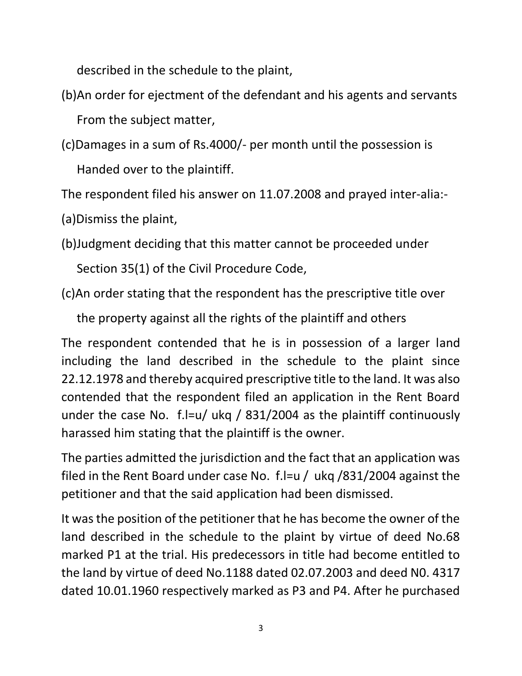described in the schedule to the plaint,

- (b)An order for ejectment of the defendant and his agents and servants From the subject matter,
- (c)Damages in a sum of Rs.4000/- per month until the possession is Handed over to the plaintiff.

The respondent filed his answer on 11.07.2008 and prayed inter-alia:-

(a)Dismiss the plaint,

(b)Judgment deciding that this matter cannot be proceeded under

Section 35(1) of the Civil Procedure Code,

(c)An order stating that the respondent has the prescriptive title over

the property against all the rights of the plaintiff and others

The respondent contended that he is in possession of a larger land including the land described in the schedule to the plaint since 22.12.1978 and thereby acquired prescriptive title to the land. It was also contended that the respondent filed an application in the Rent Board under the case No. f.l=u/ ukq / 831/2004 as the plaintiff continuously harassed him stating that the plaintiff is the owner.

The parties admitted the jurisdiction and the fact that an application was filed in the Rent Board under case No. f.l=u / ukq /831/2004 against the petitioner and that the said application had been dismissed.

It was the position of the petitioner that he has become the owner of the land described in the schedule to the plaint by virtue of deed No.68 marked P1 at the trial. His predecessors in title had become entitled to the land by virtue of deed No.1188 dated 02.07.2003 and deed N0. 4317 dated 10.01.1960 respectively marked as P3 and P4. After he purchased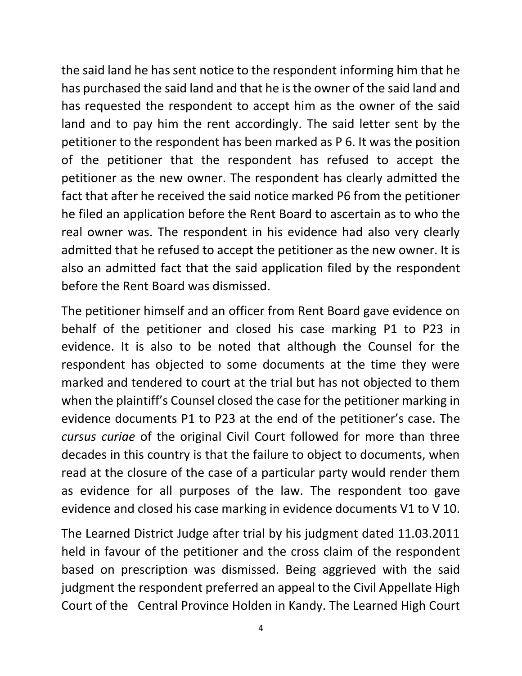the said land he has sent notice to the respondent informing him that he has purchased the said land and that he is the owner of the said land and has requested the respondent to accept him as the owner of the said land and to pay him the rent accordingly. The said letter sent by the petitioner to the respondent has been marked as P 6. It was the position of the petitioner that the respondent has refused to accept the petitioner as the new owner. The respondent has clearly admitted the fact that after he received the said notice marked P6 from the petitioner he filed an application before the Rent Board to ascertain as to who the real owner was. The respondent in his evidence had also very clearly admitted that he refused to accept the petitioner as the new owner. It is also an admitted fact that the said application filed by the respondent before the Rent Board was dismissed.

The petitioner himself and an officer from Rent Board gave evidence on behalf of the petitioner and closed his case marking P1 to P23 in evidence. It is also to be noted that although the Counsel for the respondent has objected to some documents at the time they were marked and tendered to court at the trial but has not objected to them when the plaintiff's Counsel closed the case for the petitioner marking in evidence documents P1 to P23 at the end of the petitioner's case. The *cursus curiae* of the original Civil Court followed for more than three decades in this country is that the failure to object to documents, when read at the closure of the case of a particular party would render them as evidence for all purposes of the law. The respondent too gave evidence and closed his case marking in evidence documents V1 to V 10.

The Learned District Judge after trial by his judgment dated 11.03.2011 held in favour of the petitioner and the cross claim of the respondent based on prescription was dismissed. Being aggrieved with the said judgment the respondent preferred an appeal to the Civil Appellate High Court of the Central Province Holden in Kandy. The Learned High Court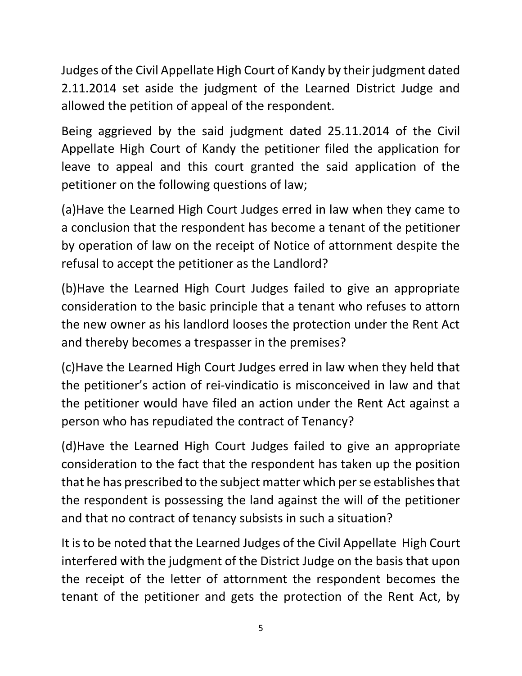Judges of the Civil Appellate High Court of Kandy by their judgment dated 2.11.2014 set aside the judgment of the Learned District Judge and allowed the petition of appeal of the respondent.

Being aggrieved by the said judgment dated 25.11.2014 of the Civil Appellate High Court of Kandy the petitioner filed the application for leave to appeal and this court granted the said application of the petitioner on the following questions of law;

(a)Have the Learned High Court Judges erred in law when they came to a conclusion that the respondent has become a tenant of the petitioner by operation of law on the receipt of Notice of attornment despite the refusal to accept the petitioner as the Landlord?

(b)Have the Learned High Court Judges failed to give an appropriate consideration to the basic principle that a tenant who refuses to attorn the new owner as his landlord looses the protection under the Rent Act and thereby becomes a trespasser in the premises?

(c)Have the Learned High Court Judges erred in law when they held that the petitioner's action of rei-vindicatio is misconceived in law and that the petitioner would have filed an action under the Rent Act against a person who has repudiated the contract of Tenancy?

(d)Have the Learned High Court Judges failed to give an appropriate consideration to the fact that the respondent has taken up the position that he has prescribed to the subject matter which per se establishes that the respondent is possessing the land against the will of the petitioner and that no contract of tenancy subsists in such a situation?

It is to be noted that the Learned Judges of the Civil Appellate High Court interfered with the judgment of the District Judge on the basis that upon the receipt of the letter of attornment the respondent becomes the tenant of the petitioner and gets the protection of the Rent Act, by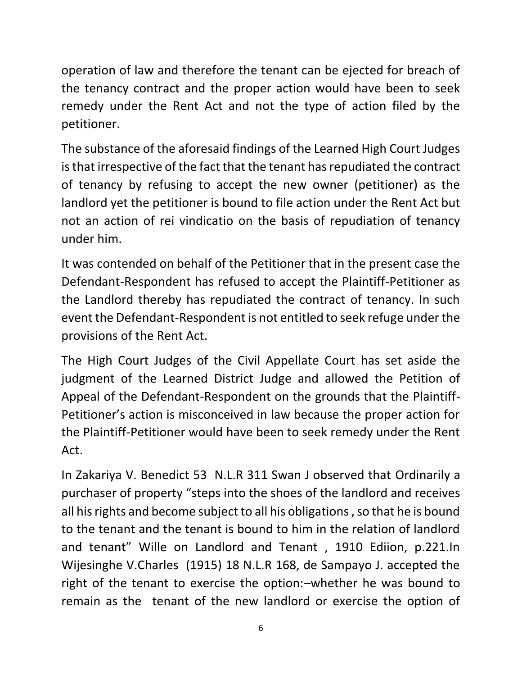operation of law and therefore the tenant can be ejected for breach of the tenancy contract and the proper action would have been to seek remedy under the Rent Act and not the type of action filed by the petitioner.

The substance of the aforesaid findings of the Learned High Court Judges is that irrespective of the fact that the tenant has repudiated the contract of tenancy by refusing to accept the new owner (petitioner) as the landlord yet the petitioner is bound to file action under the Rent Act but not an action of rei vindicatio on the basis of repudiation of tenancy under him.

It was contended on behalf of the Petitioner that in the present case the Defendant-Respondent has refused to accept the Plaintiff-Petitioner as the Landlord thereby has repudiated the contract of tenancy. In such event the Defendant-Respondent is not entitled to seek refuge under the provisions of the Rent Act.

The High Court Judges of the Civil Appellate Court has set aside the judgment of the Learned District Judge and allowed the Petition of Appeal of the Defendant-Respondent on the grounds that the Plaintiff-Petitioner's action is misconceived in law because the proper action for the Plaintiff-Petitioner would have been to seek remedy under the Rent Act.

In Zakariya V. Benedict 53 N.L.R 311 Swan J observed that Ordinarily a purchaser of property "steps into the shoes of the landlord and receives all his rights and become subject to all his obligations , so that he is bound to the tenant and the tenant is bound to him in the relation of landlord and tenant" Wille on Landlord and Tenant , 1910 Ediion, p.221.In Wijesinghe V.Charles (1915) 18 N.L.R 168, de Sampayo J. accepted the right of the tenant to exercise the option:–whether he was bound to remain as the tenant of the new landlord or exercise the option of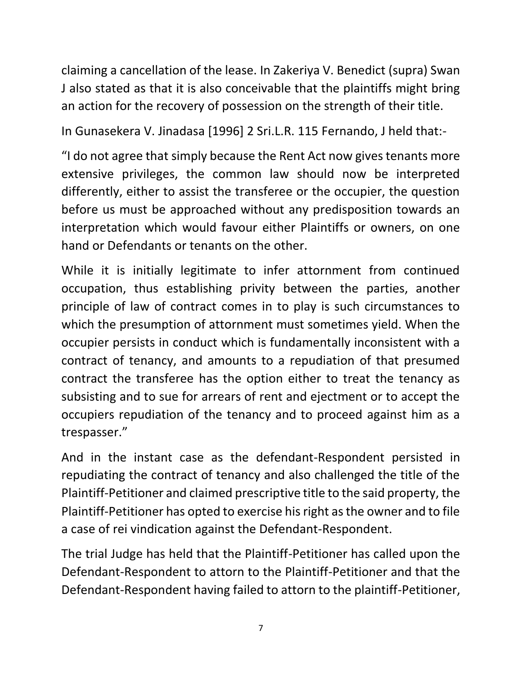claiming a cancellation of the lease. In Zakeriya V. Benedict (supra) Swan J also stated as that it is also conceivable that the plaintiffs might bring an action for the recovery of possession on the strength of their title.

In Gunasekera V. Jinadasa [1996] 2 Sri.L.R. 115 Fernando, J held that:-

"I do not agree that simply because the Rent Act now gives tenants more extensive privileges, the common law should now be interpreted differently, either to assist the transferee or the occupier, the question before us must be approached without any predisposition towards an interpretation which would favour either Plaintiffs or owners, on one hand or Defendants or tenants on the other.

While it is initially legitimate to infer attornment from continued occupation, thus establishing privity between the parties, another principle of law of contract comes in to play is such circumstances to which the presumption of attornment must sometimes yield. When the occupier persists in conduct which is fundamentally inconsistent with a contract of tenancy, and amounts to a repudiation of that presumed contract the transferee has the option either to treat the tenancy as subsisting and to sue for arrears of rent and ejectment or to accept the occupiers repudiation of the tenancy and to proceed against him as a trespasser."

And in the instant case as the defendant-Respondent persisted in repudiating the contract of tenancy and also challenged the title of the Plaintiff-Petitioner and claimed prescriptive title to the said property, the Plaintiff-Petitioner has opted to exercise his right as the owner and to file a case of rei vindication against the Defendant-Respondent.

The trial Judge has held that the Plaintiff-Petitioner has called upon the Defendant-Respondent to attorn to the Plaintiff-Petitioner and that the Defendant-Respondent having failed to attorn to the plaintiff-Petitioner,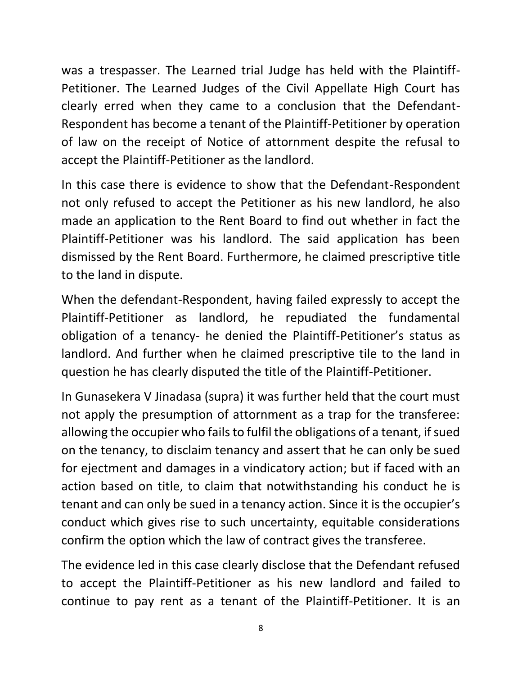was a trespasser. The Learned trial Judge has held with the Plaintiff-Petitioner. The Learned Judges of the Civil Appellate High Court has clearly erred when they came to a conclusion that the Defendant-Respondent has become a tenant of the Plaintiff-Petitioner by operation of law on the receipt of Notice of attornment despite the refusal to accept the Plaintiff-Petitioner as the landlord.

In this case there is evidence to show that the Defendant-Respondent not only refused to accept the Petitioner as his new landlord, he also made an application to the Rent Board to find out whether in fact the Plaintiff-Petitioner was his landlord. The said application has been dismissed by the Rent Board. Furthermore, he claimed prescriptive title to the land in dispute.

When the defendant-Respondent, having failed expressly to accept the Plaintiff-Petitioner as landlord, he repudiated the fundamental obligation of a tenancy- he denied the Plaintiff-Petitioner's status as landlord. And further when he claimed prescriptive tile to the land in question he has clearly disputed the title of the Plaintiff-Petitioner.

In Gunasekera V Jinadasa (supra) it was further held that the court must not apply the presumption of attornment as a trap for the transferee: allowing the occupier who fails to fulfil the obligations of a tenant, if sued on the tenancy, to disclaim tenancy and assert that he can only be sued for ejectment and damages in a vindicatory action; but if faced with an action based on title, to claim that notwithstanding his conduct he is tenant and can only be sued in a tenancy action. Since it is the occupier's conduct which gives rise to such uncertainty, equitable considerations confirm the option which the law of contract gives the transferee.

The evidence led in this case clearly disclose that the Defendant refused to accept the Plaintiff-Petitioner as his new landlord and failed to continue to pay rent as a tenant of the Plaintiff-Petitioner. It is an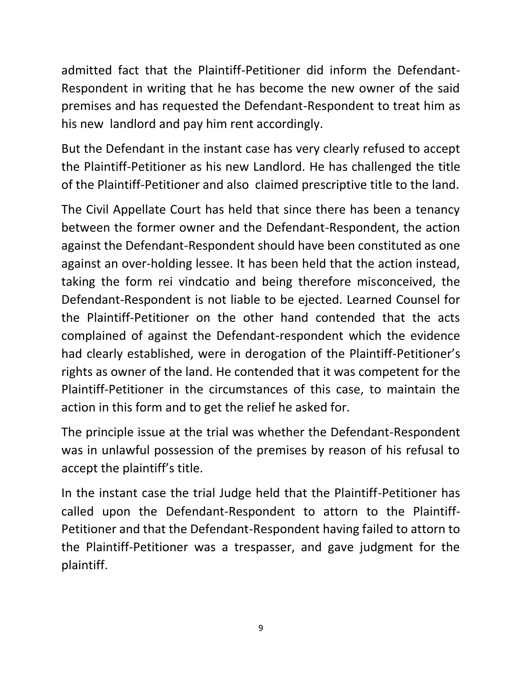admitted fact that the Plaintiff-Petitioner did inform the Defendant-Respondent in writing that he has become the new owner of the said premises and has requested the Defendant-Respondent to treat him as his new landlord and pay him rent accordingly.

But the Defendant in the instant case has very clearly refused to accept the Plaintiff-Petitioner as his new Landlord. He has challenged the title of the Plaintiff-Petitioner and also claimed prescriptive title to the land.

The Civil Appellate Court has held that since there has been a tenancy between the former owner and the Defendant-Respondent, the action against the Defendant-Respondent should have been constituted as one against an over-holding lessee. It has been held that the action instead, taking the form rei vindcatio and being therefore misconceived, the Defendant-Respondent is not liable to be ejected. Learned Counsel for the Plaintiff-Petitioner on the other hand contended that the acts complained of against the Defendant-respondent which the evidence had clearly established, were in derogation of the Plaintiff-Petitioner's rights as owner of the land. He contended that it was competent for the Plaintiff-Petitioner in the circumstances of this case, to maintain the action in this form and to get the relief he asked for.

The principle issue at the trial was whether the Defendant-Respondent was in unlawful possession of the premises by reason of his refusal to accept the plaintiff's title.

In the instant case the trial Judge held that the Plaintiff-Petitioner has called upon the Defendant-Respondent to attorn to the Plaintiff-Petitioner and that the Defendant-Respondent having failed to attorn to the Plaintiff-Petitioner was a trespasser, and gave judgment for the plaintiff.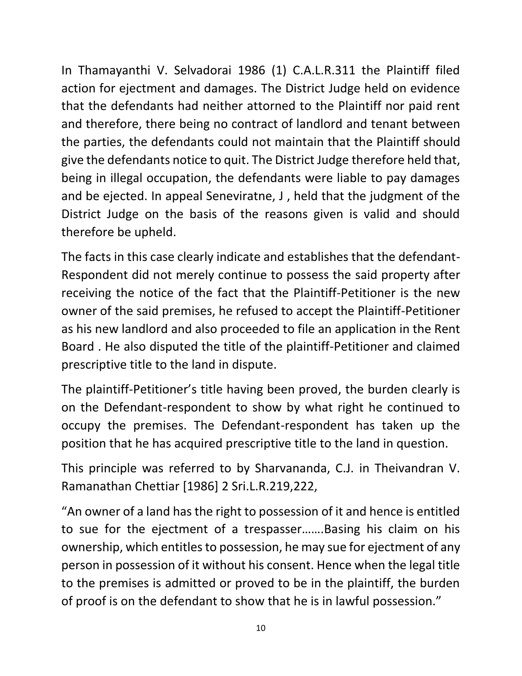In Thamayanthi V. Selvadorai 1986 (1) C.A.L.R.311 the Plaintiff filed action for ejectment and damages. The District Judge held on evidence that the defendants had neither attorned to the Plaintiff nor paid rent and therefore, there being no contract of landlord and tenant between the parties, the defendants could not maintain that the Plaintiff should give the defendants notice to quit. The District Judge therefore held that, being in illegal occupation, the defendants were liable to pay damages and be ejected. In appeal Seneviratne, J , held that the judgment of the District Judge on the basis of the reasons given is valid and should therefore be upheld.

The facts in this case clearly indicate and establishes that the defendant-Respondent did not merely continue to possess the said property after receiving the notice of the fact that the Plaintiff-Petitioner is the new owner of the said premises, he refused to accept the Plaintiff-Petitioner as his new landlord and also proceeded to file an application in the Rent Board . He also disputed the title of the plaintiff-Petitioner and claimed prescriptive title to the land in dispute.

The plaintiff-Petitioner's title having been proved, the burden clearly is on the Defendant-respondent to show by what right he continued to occupy the premises. The Defendant-respondent has taken up the position that he has acquired prescriptive title to the land in question.

This principle was referred to by Sharvananda, C.J. in Theivandran V. Ramanathan Chettiar [1986] 2 Sri.L.R.219,222,

"An owner of a land has the right to possession of it and hence is entitled to sue for the ejectment of a trespasser…….Basing his claim on his ownership, which entitles to possession, he may sue for ejectment of any person in possession of it without his consent. Hence when the legal title to the premises is admitted or proved to be in the plaintiff, the burden of proof is on the defendant to show that he is in lawful possession."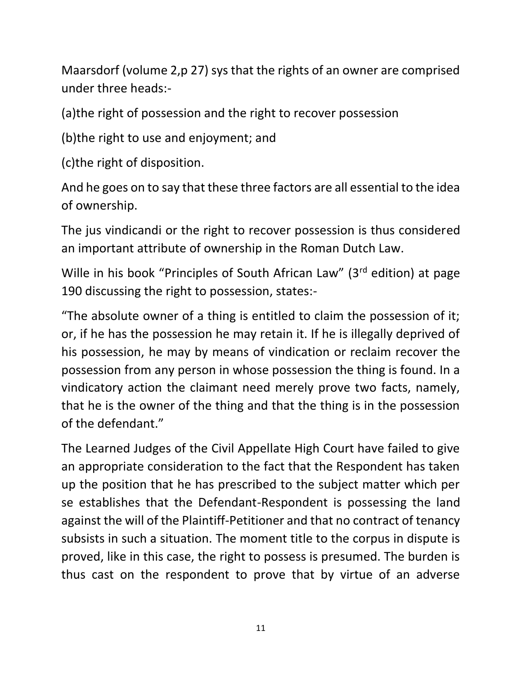Maarsdorf (volume 2,p 27) sys that the rights of an owner are comprised under three heads:-

(a)the right of possession and the right to recover possession

(b)the right to use and enjoyment; and

(c)the right of disposition.

And he goes on to say that these three factors are all essential to the idea of ownership.

The jus vindicandi or the right to recover possession is thus considered an important attribute of ownership in the Roman Dutch Law.

Wille in his book "Principles of South African Law" (3<sup>rd</sup> edition) at page 190 discussing the right to possession, states:-

"The absolute owner of a thing is entitled to claim the possession of it; or, if he has the possession he may retain it. If he is illegally deprived of his possession, he may by means of vindication or reclaim recover the possession from any person in whose possession the thing is found. In a vindicatory action the claimant need merely prove two facts, namely, that he is the owner of the thing and that the thing is in the possession of the defendant."

The Learned Judges of the Civil Appellate High Court have failed to give an appropriate consideration to the fact that the Respondent has taken up the position that he has prescribed to the subject matter which per se establishes that the Defendant-Respondent is possessing the land against the will of the Plaintiff-Petitioner and that no contract of tenancy subsists in such a situation. The moment title to the corpus in dispute is proved, like in this case, the right to possess is presumed. The burden is thus cast on the respondent to prove that by virtue of an adverse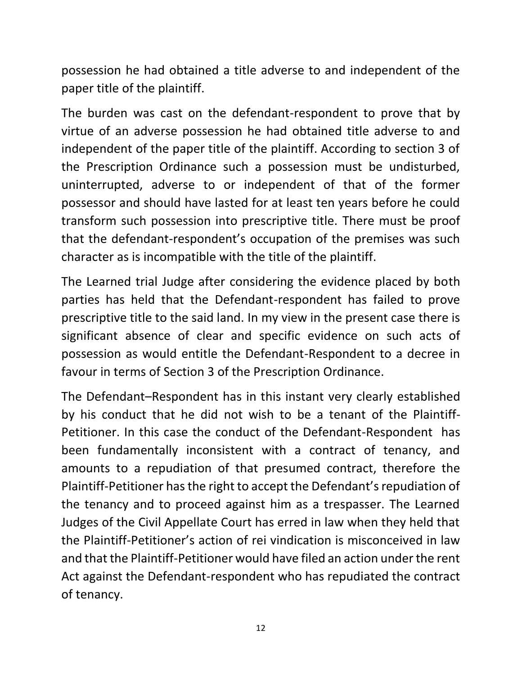possession he had obtained a title adverse to and independent of the paper title of the plaintiff.

The burden was cast on the defendant-respondent to prove that by virtue of an adverse possession he had obtained title adverse to and independent of the paper title of the plaintiff. According to section 3 of the Prescription Ordinance such a possession must be undisturbed, uninterrupted, adverse to or independent of that of the former possessor and should have lasted for at least ten years before he could transform such possession into prescriptive title. There must be proof that the defendant-respondent's occupation of the premises was such character as is incompatible with the title of the plaintiff.

The Learned trial Judge after considering the evidence placed by both parties has held that the Defendant-respondent has failed to prove prescriptive title to the said land. In my view in the present case there is significant absence of clear and specific evidence on such acts of possession as would entitle the Defendant-Respondent to a decree in favour in terms of Section 3 of the Prescription Ordinance.

The Defendant–Respondent has in this instant very clearly established by his conduct that he did not wish to be a tenant of the Plaintiff-Petitioner. In this case the conduct of the Defendant-Respondent has been fundamentally inconsistent with a contract of tenancy, and amounts to a repudiation of that presumed contract, therefore the Plaintiff-Petitioner has the right to accept the Defendant's repudiation of the tenancy and to proceed against him as a trespasser. The Learned Judges of the Civil Appellate Court has erred in law when they held that the Plaintiff-Petitioner's action of rei vindication is misconceived in law and that the Plaintiff-Petitioner would have filed an action under the rent Act against the Defendant-respondent who has repudiated the contract of tenancy.